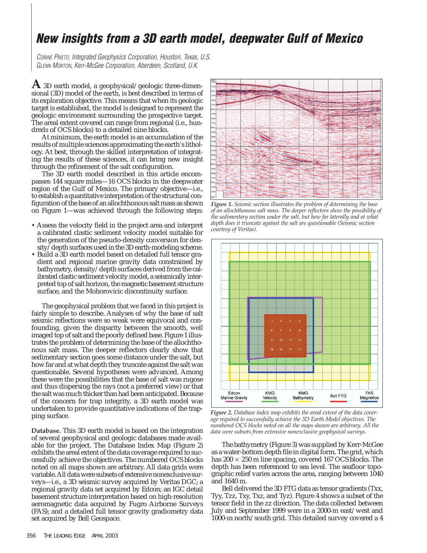## *New insights from a 3D earth model, deepwater Gulf of Mexico*

*CORINE PRIETO, Integrated Geophysics Corporation, Houston, Texas, U.S. GLENN MORTON, Kerr-McGee Corporation, Aberdeen, Scotland, U.K.*

**A** 3D earth model, a geophysical/geologic three-dimensional (3D) model of the earth, is best described in terms of its exploration objective. This means that when its geologic target is established, the model is designed to represent the geologic environment surrounding the prospective target. The areal extent covered can range from regional (i.e., hundreds of OCS blocks) to a detailed nine blocks.

At minimum, the earth model is an accumulation of the results of multiple sciences approximating the earth's lithology. At best, through the skilled interpretation of integrating the results of these sciences, it can bring new insight through the refinement of the salt configuration.

The 3D earth model described in this article encompasses 144 square miles—16 OCS blocks in the deepwater region of the Gulf of Mexico. The primary objective—i.e., to establish a quantitative interpretation of the structural configuration of the base of an allochthonous salt mass as shown on Figure 1—was achieved through the following steps:

- Assess the velocity field in the project area and interpret a calibrated clastic sediment velocity model suitable for the generation of the pseudo-density conversion for density/depth surfaces used in the 3D earth-modeling scheme.
- Build a 3D earth model based on detailed full tensor gradient and regional marine gravity data constrained by bathymetry, density/depth surfaces derived from the calibrated clastic sediment velocity model, a seismically interpreted top of salt horizon, the magnetic basement structure surface, and the Mohorovicic discontinuity surface.

The geophysical problem that we faced in this project is fairly simple to describe. Analyses of why the base of salt seismic reflections were so weak were equivocal and confounding, given the disparity between the smooth, well imaged top of salt and the poorly defined base. Figure 1 illustrates the problem of determining the base of the allochthonous salt mass. The deeper reflectors clearly show that sedimentary section goes some distance under the salt, but how far and at what depth they truncate against the salt was questionable. Several hypotheses were advanced. Among these were the possibilities that the base of salt was rugose and thus dispersing the rays (not a preferred view) or that the salt was much thicker than had been anticipated. Because of the concern for trap integrity, a 3D earth model was undertaken to provide quantitative indications of the trapping surface.

**Database.** This 3D earth model is based on the integration of several geophysical and geologic databases made available for the project. The Database Index Map (Figure 2) exhibits the areal extent of the data coverage required to successfully achieve the objectives. The numbered OCS blocks noted on all maps shown are arbitrary. All data grids were variable. All data were subsets of extensive nonexclusive surveys—i.e., a 3D seismic survey acquired by Veritas DGC; a regional gravity data set acquired by Edcon; an IGC detail basement structure interpretation based on high-resolution aeromagnetic data acquired by Fugro Airborne Surveys (FAS); and a detailed full tensor gravity gradiometry data set acquired by Bell Geospace.



*Figure 1. Seismic section illustrates the problem of determining the base of an allochthonous salt mass. The deeper reflectors show the possibility of the sedimentary section under the salt, but how far laterally and at what depth does it truncate against the salt are questionable (Seismic section courtesy of Veritas).*



*Figure 2. Database index map exhibits the areal extent of the data coverage required to successfully achieve the 3D Earth Model objectives. The numbered OCS blocks noted on all the maps shown are arbitrary. All the data were subsets from extensive nonexclusive geophysical surveys.*

The bathymetry (Figure 3) was supplied by Kerr-McGee as a water-bottom depth file in digital form. The grid, which has  $200 \times 250$  m line spacing, covered 167 OCS blocks. The depth has been referenced to sea level. The seafloor topographic relief varies across the area, ranging between 1040 and 1640 m.

Bell delivered the 3D FTG data as tensor gradients (Txx, Tyy, Tzz, Txy, Txz, and Tyz). Figure 4 shows a subset of the tensor field in the zz direction. The data collected between July and September 1999 were in a 2000-m east/west and 1000-m north/south grid. This detailed survey covered a 4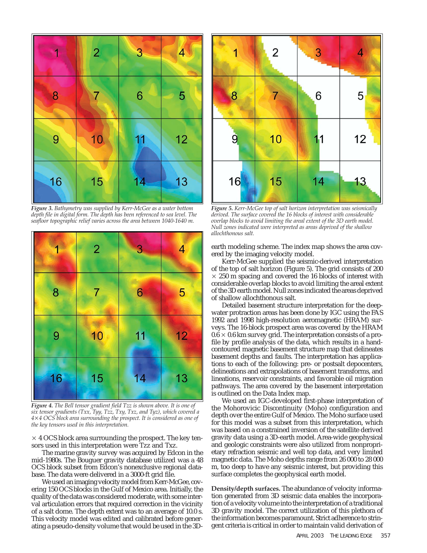

*Figure 3. Bathymetry was supplied by Kerr-McGee as a water bottom depth file in digital form. The depth has been referenced to sea level. The seafloor topographic relief varies across the area between 1040-1640 m.*



*Figure 4. The Bell tensor gradient field Tzz is shown above. It is one of six tensor gradients (Txx, Tyy, Tzz, Txy, Txz, and Tyz), which covered a 44 OCS block area surrounding the prospect. It is considered as one of the key tensors used in this interpretation.*

 $\times$  4 OCS block area surrounding the prospect. The key tensors used in this interpretation were Tzz and Txz.

The marine gravity survey was acquired by Edcon in the mid-1980s. The Bouguer gravity database utilized was a 48 OCS block subset from Edcon's nonexclusive regional database. The data were delivered in a 3000-ft grid file.

Weused an imaging velocity model from Kerr-McGee, covering 150 OCS blocks in the Gulf of Mexico area. Initially, the quality of the data was considered moderate, with some interval articulation errors that required correction in the vicinity of a salt dome. The depth extent was to an average of 10.0 s. This velocity model was edited and calibrated before generating a pseudo-density volume that would be used in the 3D-



*Figure 5. Kerr-McGee top of salt horizon interpretation was seismically derived. The surface covered the 16 blocks of interest with considerable overlap blocks to avoid limiting the areal extent of the 3D earth model. Null zones indicated were interpreted as areas deprived of the shallow allochthonous salt.*

earth modeling scheme. The index map shows the area covered by the imaging velocity model.

Kerr-McGee supplied the seismic-derived interpretation of the top of salt horizon (Figure 5). The grid consists of 200  $\times$  250 m spacing and covered the 16 blocks of interest with considerable overlap blocks to avoid limiting the areal extent of the 3D earth model. Null zones indicated the areas deprived of shallow allochthonous salt.

Detailed basement structure interpretation for the deepwater protraction areas has been done by IGC using the FAS 1992 and 1998 high-resolution aeromagnetic (HRAM) surveys. The 16-block prospect area was covered by the HRAM  $0.6 \times 0.6$  km survey grid. The interpretation consists of a profile by profile analysis of the data, which results in a handcontoured magnetic basement structure map that delineates basement depths and faults. The interpretation has applications to each of the following: pre- or postsalt depocenters, delineations and extrapolations of basement transforms, and lineations, reservoir constraints, and favorable oil migration pathways. The area covered by the basement interpretation is outlined on the Data Index map.

We used an IGC-developed first-phase interpretation of the Mohorovicic Discontinuity (Moho) configuration and depth over the entire Gulf of Mexico. The Moho surface used for this model was a subset from this interpretation, which was based on a constrained inversion of the satellite derived gravity data using a 3D-earth model. Area-wide geophysical and geologic constraints were also utilized from nonproprietary refraction seismic and well top data, and very limited magnetic data. The Moho depths range from 26 000 to 28 000 m, too deep to have any seismic interest, but providing this surface completes the geophysical earth model.

**Density/depth surfaces.** The abundance of velocity information generated from 3D seismic data enables the incorporation of a velocity volume into the interpretation of a traditional 3D gravity model. The correct utilization of this plethora of the information becomes paramount. Strict adherence to stringent criteria is critical in order to maintain valid derivation of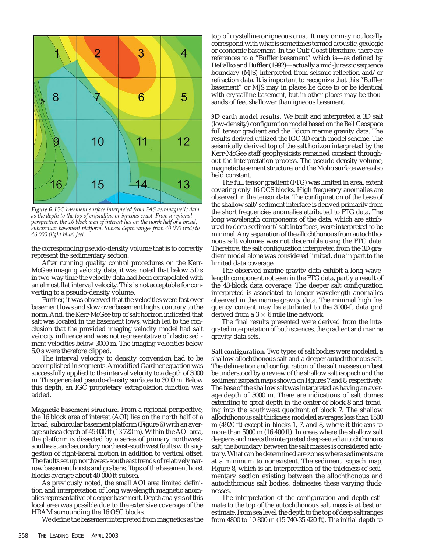

*Figure 6. IGC basement surface interpreted from FAS aeromagnetic data as the depth to the top of crystalline or igneous crust. From a regional perspective, the 16 block area of interest lies on the north half of a broad, subcircular basement platform. Subsea depth ranges from 40 000 (red) to 46 000 (light blue) feet.*

the corresponding pseudo-density volume that is to correctly represent the sedimentary section.

After running quality control procedures on the Kerr-McGee imaging velocity data, it was noted that below 5.0 s in two-way time the velocity data had been extrapolated with an almost flat interval velocity. This is not acceptable for converting to a pseudo-density volume.

Further, it was observed that the velocities were fast over basement lows and slow over basement highs, contrary to the norm. And, the Kerr-McGee top of salt horizon indicated that salt was located in the basement lows, which led to the conclusion that the provided imaging velocity model had salt velocity influence and was not representative of clastic sediment velocities below 3000 m. The imaging velocities below 5.0 s were therefore clipped.

The interval velocity to density conversion had to be accomplished in segments. Amodified Gardner equation was successfully applied to the interval velocity to a depth of 3000 m. This generated pseudo-density surfaces to 3000 m. Below this depth, an IGC proprietary extrapolation function was added.

**Magnetic basement structure.** From a regional perspective, the 16 block area of interest (AOI) lies on the north half of a broad, subcircular basement platform (Figure 6) with an average subsea depth of 45 000 ft (13 720 m). Within the AOI area, the platform is dissected by a series of primary northwestsoutheast and secondary northeast-southwest faults with suggestion of right-lateral motion in addition to vertical offset. The faults set up northwest-southeast trends of relatively narrow basement horsts and grabens. Tops of the basement horst blocks average about 40 000 ft subsea.

As previously noted, the small AOI area limited definition and interpretation of long wavelength magnetic anomalies representative of deeper basement. Depth analysis of this local area was possible due to the extensive coverage of the HRAM surrounding the 16 OSC blocks.

We define the basement interpreted from magnetics as the

top of crystalline or igneous crust. It may or may not locally correspond with what is sometimes termed acoustic, geologic or economic basement. In the Gulf Coast literature, there are references to a "Buffler basement" which is—as defined by DeBalko and Buffler (1992)—actually a mid-Jurassic sequence boundary (MJS) interpreted from seismic reflection and/or refraction data. It is important to recognize that this "Buffler basement" or MJS may in places lie close to or be identical with crystalline basement, but in other places may be thousands of feet shallower than igneous basement.

**3D earth model results.** We built and interpreted a 3D salt (low-density) configuration model based on the Bell Geospace full tensor gradient and the Edcon marine gravity data. The results derived utilized the IGC 3D earth-model scheme. The seismically derived top of the salt horizon interpreted by the Kerr-McGee staff geophysicists remained constant throughout the interpretation process. The pseudo-density volume, magnetic basement structure, and the Moho surface were also held constant.

The full tensor gradient (FTG) was limited in areal extent covering only 16 OCS blocks. High frequency anomalies are observed in the tensor data. The configuration of the base of the shallow salt/sediment interface is derived primarily from the short frequencies anomalies attributed to FTG data. The long wavelength components of the data, which are attributed to deep sediment/salt interfaces, were interpreted to be minimal. Any separation of the allochthonous from autochthonous salt volumes was not discernible using the FTG data. Therefore, the salt configuration interpreted from the 3D gradient model alone was considered limited, due in part to the limited data coverage.

The observed marine gravity data exhibit a long wavelength component not seen in the FTG data, partly a result of the 48-block data coverage. The deeper salt configuration interpreted is associated to longer wavelength anomalies observed in the marine gravity data. The minimal high frequency content may be attributed to the 3000-ft data grid derived from a  $3 \times 6$  mile line network.

The final results presented were derived from the integrated interpretation of both sciences, the gradient and marine gravity data sets.

**Salt configuration.** Two types of salt bodies were modeled, a shallow allochthonous salt and a deeper autochthonous salt. The delineation and configuration of the salt masses can best be understood by a review of the shallow salt isopach and the sediment isopach maps shown on Figures 7 and 8, respectively. The base of the shallow salt was interpreted as having an average depth of 5000 m. There are indications of salt domes extending to great depth in the center of block 8 and trending into the southwest quadrant of block 7. The shallow allochthonous salt thickness modeled averages less than 1500 m (4920 ft) except in blocks 1, 7, and 8, where it thickens to more than 5000 m (16 400 ft). In areas where the shallow salt deepens and meets the interpreted deep-seated autochthonous salt, the boundary between the salt masses is considered arbitrary. What can be determined are zones where sediments are at a minimum to nonexistent. The sediment isopach map, Figure 8, which is an interpretation of the thickness of sedimentary section existing between the allochthonous and autochthonous salt bodies, delineates these varying thicknesses.

The interpretation of the configuration and depth estimate to the top of the autochthonous salt mass is at best an estimate. From sea level, the depth to the top of deep salt ranges from 4800 to 10 800 m (15 740-35 420 ft). The initial depth to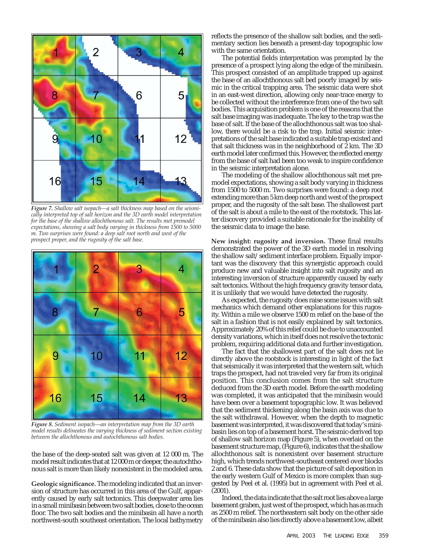

*Figure 7. Shallow salt isopach—a salt thickness map based on the seismically interpreted top of salt horizon and the 3D earth model interpretation for the base of the shallow allochthonous salt. The results met premodel expectations, showing a salt body varying in thickness from 1500 to 5000 m. Two surprises were found: a deep salt root north and west of the prospect proper, and the rugosity of the salt base.*



*Figure 8. Sediment isopach—an interpretation map from the 3D earth model results delineates the varying thickness of sediment section existing between the allochthonous and autochthonous salt bodies.*

the base of the deep-seated salt was given at 12 000 m. The model result indicates that at 12 000 m or deeper, the autochthonous salt is more than likely nonexistent in the modeled area.

**Geologic significance.** The modeling indicated that an inversion of structure has occurred in this area of the Gulf, apparently caused by early salt tectonics. This deepwater area lies in a small minibasin between two salt bodies, close to the ocean floor. The two salt bodies and the minibasin all have a north northwest-south southeast orientation. The local bathymetry

reflects the presence of the shallow salt bodies, and the sedimentary section lies beneath a present-day topographic low with the same orientation.

The potential fields interpretation was prompted by the presence of a prospect lying along the edge of the minibasin. This prospect consisted of an amplitude trapped up against the base of an allochthonous salt bed poorly imaged by seismic in the critical trapping area. The seismic data were shot in an east-west direction, allowing only near-trace energy to be collected without the interference from one of the two salt bodies. This acquisition problem is one of the reasons that the salt base imaging was inadequate. The key to the trap was the base of salt. If the base of the allochthonous salt was too shallow, there would be a risk to the trap. Initial seismic interpretations of the salt base indicated a suitable trap existed and that salt thickness was in the neighborhood of  $\hat{2}$  km. The 3D earth model later confirmed this. However, the reflected energy from the base of salt had been too weak to inspire confidence in the seismic interpretation alone.

The modeling of the shallow allochthonous salt met premodel expectations, showing a salt body varying in thickness from 1500 to 5000 m. Two surprises were found: a deep root extending more than 5 km deep north and west of the prospect proper, and the rugosity of the salt base. The shallowest part of the salt is about a mile to the east of the rootstock. This latter discovery provided a suitable rationale for the inability of the seismic data to image the base.

**New insight: rugosity and inversion.** These final results demonstrated the power of the 3D earth model in resolving the shallow salt/sediment interface problem. Equally important was the discovery that this synergistic approach could produce new and valuable insight into salt rugosity and an interesting inversion of structure apparently caused by early salt tectonics. Without the high frequency gravity tensor data, it is unlikely that we would have detected the rugosity.

As expected, the rugosity does raise some issues with salt mechanics which demand other explanations for this rugosity. Within a mile we observe 1500 m relief on the base of the salt in a fashion that is not easily explained by salt tectonics. Approximately 20% of this relief could be due to unaccounted density variations, which in itself does not resolve the tectonic problem, requiring additional data and further investigation.

The fact that the shallowest part of the salt does not lie directly above the rootstock is interesting in light of the fact that seismically it was interpreted that the western salt, which traps the prospect, had not traveled very far from its original position. This conclusion comes from the salt structure deduced from the 3D earth model. Before the earth modeling was completed, it was anticipated that the minibasin would have been over a basement topographic low. It was believed that the sediment thickening along the basin axis was due to the salt withdrawal. However, when the depth to magnetic basement was interpreted, it was discovered that today's minibasin lies on top of a basement horst. The seismic-derived top of shallow salt horizon map (Figure 5), when overlaid on the basement structure map, (Figure 6), indicates that the shallow allochthonous salt is nonexistent over basement structure high, which trends northwest-southeast centered over blocks 2 and 6. These data show that the picture of salt deposition in the early western Gulf of Mexico is more complex than suggested by Peel et al. (1995) but in agreement with Peel et al.  $(2001)$ .

Indeed, the data indicate that the salt root lies above a large basement graben, just west of the prospect, which has as much as 2500 m relief. The northeastern salt body on the other side of the minibasin also lies directly above a basement low, albeit